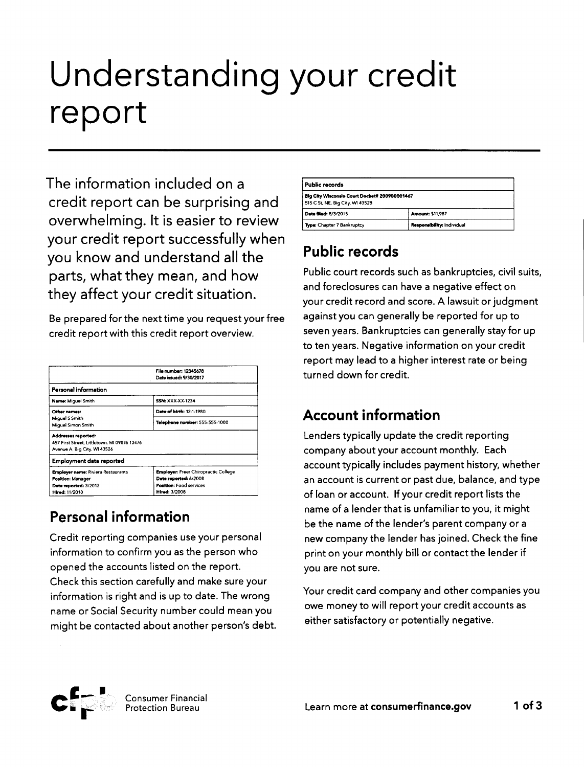# Understanding your credit report

The information included on a credit report can be surprising and overwhelming. It is easier to review your credit report successfully when you know and understand all the parts, what they mean, and how they affect your credit situation.

Be prepared for the next time you request your free credit report with this credit report overview.

|                                                                                                     | File number: 12345678<br>Date issued: 9/30/2017 |  |
|-----------------------------------------------------------------------------------------------------|-------------------------------------------------|--|
| Personal information                                                                                |                                                 |  |
| <b>Name: Miguel Smith</b>                                                                           | <b>SSN: XXX-XX-1234</b>                         |  |
| Other names:                                                                                        | Date of birth: 12-1-1980                        |  |
| Miguel S Smith<br>Miquel Simon Smith                                                                | Telephone number: 555-555-1000                  |  |
| Addresses reported:<br>457 First Street, Littletown, MI 09876 13476<br>Avenue A, Big City, WI 43526 |                                                 |  |
| Employment data reported                                                                            |                                                 |  |
| <b>Employer name: Riviera Restaurants</b>                                                           | <b>Employer: Freer Chiropractic College</b>     |  |
| Position: Manager                                                                                   | Date reported: 6/2008                           |  |
| Date reported: 3/2013                                                                               | <b>Position: Food services</b>                  |  |
| Hired: 11/2010                                                                                      | <b>Hired: 3/2008</b>                            |  |

# Personal information

Credit reporting companies use your personal information to confirm you as the person who opened the accounts listed on the report. Check this section carefully and make sure your information is right and is up to date. The wrong name or Social Security number could meanyou might be contacted about another person's debt.

| Public records                                                                    |                            |  |
|-----------------------------------------------------------------------------------|----------------------------|--|
| Big City Wisconsin Court Docket# 200900001467<br>515 C St, NE, Big City, WI 43528 |                            |  |
| Date filed: 8/3/2015                                                              | <b>Amount: \$11,987</b>    |  |
| Type: Chapter 7 Bankruptcy                                                        | Responsibility: Individual |  |

## Public records

Public court records such as bankruptcies, civil suits, and foreclosures can have a negative effect on your credit record and score. A lawsuit or judgment against you can generally be reported for up to seven years. Bankruptcies can generally stay for up to ten years. Negative information on your credit report may lead to a higher interest rate or being turned down for credit.

## Account information

Lenders typically update the credit reporting company about your account monthly. Each account typically includes payment history, whether an account is current or past due, balance, and type of loan or account. If your credit report lists the name of a lender that is unfamiliar to you, it might be the name of the lender's parent company or a new company the lender hasjoined. Check the fine print on your monthly bill or contact the lender if you are not sure.

Your credit card company and other companies you owe money to will report your credit accounts as either satisfactory or potentially negative.

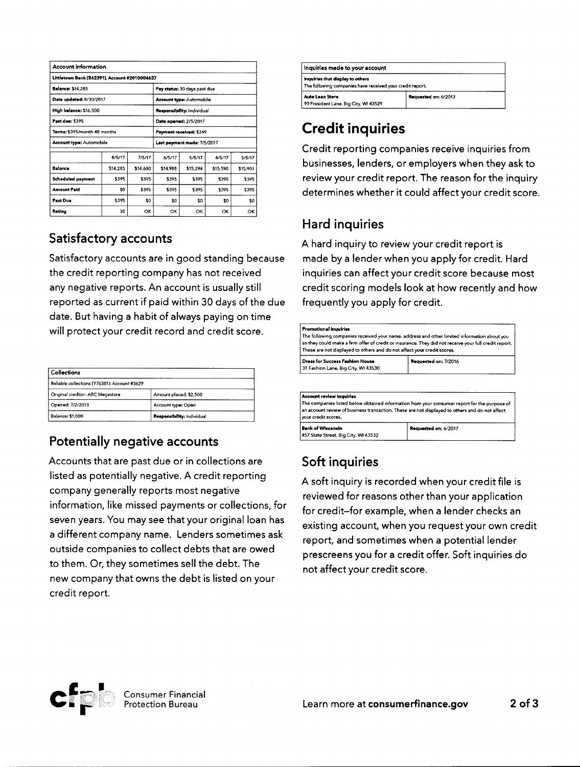| <b>Account information</b>                    |          |                                 |          |                             |          |          |
|-----------------------------------------------|----------|---------------------------------|----------|-----------------------------|----------|----------|
| Littletown Bank (B62391), Account #2010004637 |          |                                 |          |                             |          |          |
| <b>Balance: \$14,285</b>                      |          | Pay status: 30 days past due    |          |                             |          |          |
| Date updated: 8/30/2017                       |          | <b>Account type: Automobile</b> |          |                             |          |          |
| High balance: \$16,500                        |          | Responsibility: Individual      |          |                             |          |          |
| Part due: \$395                               |          | Date opened: 2/5/2017           |          |                             |          |          |
| Terms: \$395/month 48 months                  |          | Payment received: \$349         |          |                             |          |          |
| <b>Account type: Automobile</b>               |          |                                 |          | Last payment made: 7/5/2017 |          |          |
|                                               | 8/5/17   | 7/5/17                          | 6/5/17   | 5/5/17                      | 4/5/17   | 3/5/17   |
| Balance                                       | \$14,285 | \$14,680                        | \$14,988 | \$15,294                    | \$15,598 | \$15,901 |
| <b>Scheduled payment</b>                      | \$395    | \$395                           | \$395    | \$395                       | \$395    | \$395    |
| <b>Amount Paid</b>                            | \$0      | \$395                           | \$395    | \$395                       | \$395    | \$395    |
| Past Due                                      | \$395    | \$0                             | \$0      | \$0                         | \$0      | 50       |
| Rating                                        | 30       | ОΚ                              | OK       | OK                          | ОК       | ОΚ       |

#### Satisfactory accounts

Satisfactory accounts are in good standing because the credit reporting company has not received any negative reports. An account is usually still reported as current if paid within 30 days of the due date. But having a habit of always paying on time will protect your credit record and credit score.

| Collections                                  |                            |  |
|----------------------------------------------|----------------------------|--|
| Reliable collections (Y76381): Account #3629 |                            |  |
| Original creditor: ABC Megastore             | Amount placed: \$2,500     |  |
| Opened: 7/2/2013                             | Account type: Open         |  |
| <b>Balance: \$1,000</b>                      | Responsibility: Individual |  |

#### Potentially negative accounts

Accounts that are past due or in collections are listed as potentially negative. A credit reporting company generally reports most negative information, like missed payments or collections, for seven years. You may see that your original loan has a different company name. Lenders sometimes ask outside companies to collect debts that are owed to them. Or, they sometimes sell the debt. The new company that owns the debt is listed on your credit report.

| inquiries made to your account                                                                |                      |  |
|-----------------------------------------------------------------------------------------------|----------------------|--|
| inquiries that display to others<br>The following companies have received your credit report. |                      |  |
| <b>Auto Loan Store</b><br>90 President Lane, Big City, WI 43529                               | Requested on: 6/2013 |  |

## Credit inquiries

Credit reporting companies receive inquiries from businesses, lenders, or employers when they ask to review your credit report. The reason for the inquiry determines whether it could affect your credit score.

#### Hard inquiries

A hard inquiry to review your credit report is made by a lender when you apply for credit. Hard inquiries can affect your credit score because most credit scoring models look at how recently and how frequently you apply for credit.

| <b>Promotional Inquiries</b><br>These are not displayed to others and do not affect your credit scores. | The following companies received your name, address and other limited information about you<br>so they could make a firm offer of credit or insurance. They did not receive your full credit report. |
|---------------------------------------------------------------------------------------------------------|------------------------------------------------------------------------------------------------------------------------------------------------------------------------------------------------------|
| Dress for Success Fashion House<br>31 Fashion Lane, Big City, WI 43530                                  | Requested on: 7/2016                                                                                                                                                                                 |
|                                                                                                         |                                                                                                                                                                                                      |

| Account review inquiries                                         | The companies listed below obtained information from your consumer report for the purpose of   |
|------------------------------------------------------------------|------------------------------------------------------------------------------------------------|
| vour credit scores.                                              | an account review of business transaction. These are not displayed to others and do not affect |
| <b>Bank of Wisconsin</b><br>457 State Street, Big City, WI 43532 | Requested on: 6/2017                                                                           |

#### Soft inquiries

A soft inquiry is recorded when your credit file is reviewed for reasons other than your application for credit-for example, when a lender checks an existing account, when you request your own credit report, and sometimes when a potential lender prescreens you for a credit offer. Soft inquiries do not affect your credit score.